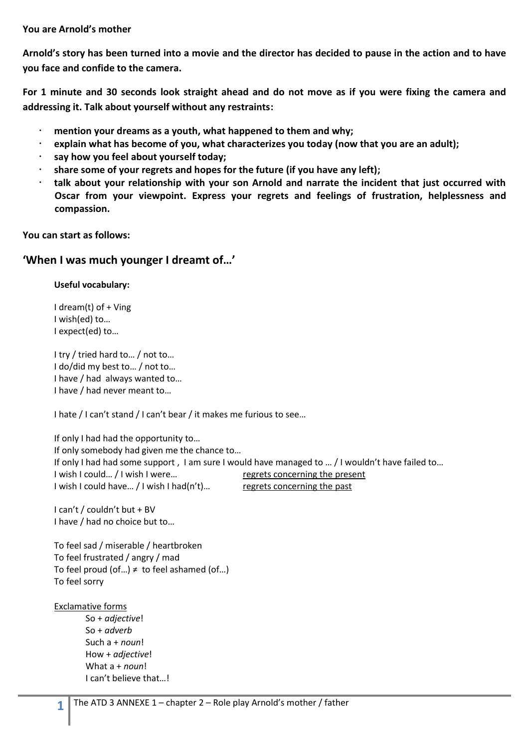### **You are Arnold's mother**

**Arnold's story has been turned into a movie and the director has decided to pause in the action and to have you face and confide to the camera.**

**For 1 minute and 30 seconds look straight ahead and do not move as if you were fixing the camera and addressing it. Talk about yourself without any restraints:** 

- **mention your dreams as a youth, what happened to them and why;**
- **explain what has become of you, what characterizes you today (now that you are an adult);**
- **say how you feel about yourself today;**
- **share some of your regrets and hopes for the future (if you have any left);**
- **talk about your relationship with your son Arnold and narrate the incident that just occurred with Oscar from your viewpoint. Express your regrets and feelings of frustration, helplessness and compassion.**

**You can start as follows:**

# **'When I was much younger I dreamt of…'**

**Useful vocabulary:**

I dream(t) of + Ving I wish(ed) to… I expect(ed) to…

I try / tried hard to… / not to… I do/did my best to… / not to… I have / had always wanted to… I have / had never meant to…

I hate / I can't stand / I can't bear / it makes me furious to see…

If only I had had the opportunity to… If only somebody had given me the chance to… If only I had had some support , I am sure I would have managed to … / I wouldn't have failed to… I wish I could... / I wish I were... regrets concerning the present I wish I could have... / I wish I had(n't)... regrets concerning the past

I can't / couldn't but + BV I have / had no choice but to…

To feel sad / miserable / heartbroken To feel frustrated / angry / mad To feel proud (of...)  $\neq$  to feel ashamed (of...) To feel sorry

#### Exclamative forms

So + *adjective*! So + *adverb* Such a + *noun*! How + *adjective*! What a + *noun*! I can't believe that…!

**1**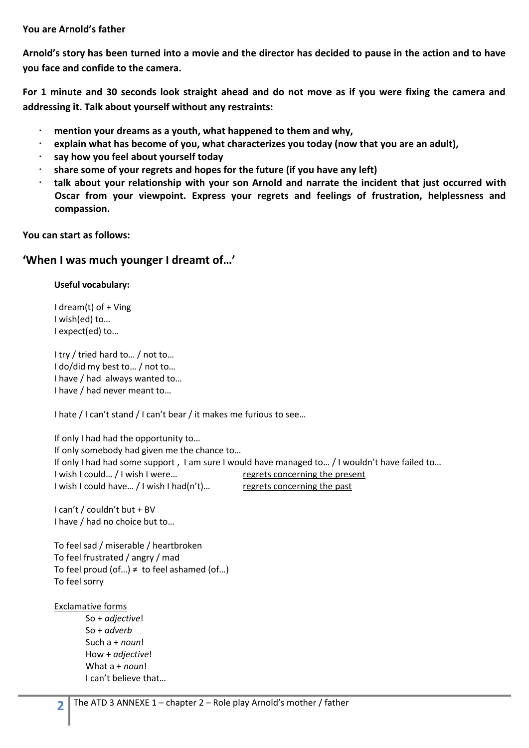## **You are Arnold's father**

**Arnold's story has been turned into a movie and the director has decided to pause in the action and to have you face and confide to the camera.**

**For 1 minute and 30 seconds look straight ahead and do not move as if you were fixing the camera and addressing it. Talk about yourself without any restraints:** 

- **mention your dreams as a youth, what happened to them and why,**
- **explain what has become of you, what characterizes you today (now that you are an adult),**
- **say how you feel about yourself today**
- **share some of your regrets and hopes for the future (if you have any left)**
- **talk about your relationship with your son Arnold and narrate the incident that just occurred with Oscar from your viewpoint. Express your regrets and feelings of frustration, helplessness and compassion.**

**You can start as follows:**

# **'When I was much younger I dreamt of…'**

**Useful vocabulary:**

I dream(t) of + Ving I wish(ed) to… I expect(ed) to…

I try / tried hard to… / not to… I do/did my best to… / not to… I have / had always wanted to… I have / had never meant to…

I hate / I can't stand / I can't bear / it makes me furious to see…

If only I had had the opportunity to… If only somebody had given me the chance to… If only I had had some support , I am sure I would have managed to… / I wouldn't have failed to… I wish I could... / I wish I were... regrets concerning the present I wish I could have... / I wish I had(n't)... regrets concerning the past

I can't / couldn't but + BV I have / had no choice but to…

To feel sad / miserable / heartbroken To feel frustrated / angry / mad To feel proud (of...)  $\neq$  to feel ashamed (of...) To feel sorry

#### Exclamative forms

So + *adjective*! So + *adverb* Such a + *noun*! How + *adjective*! What a + *noun*! I can't believe that…